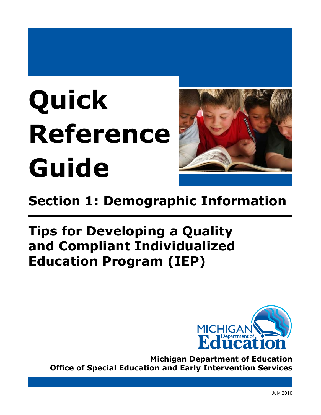# **Quick Reference Guide**



# **Section 1: Demographic Information**

## **Tips for Developing a Quality and Compliant Individualized Education Program (IEP)**



**Michigan Department of Education Office of Special Education and Early Intervention Services**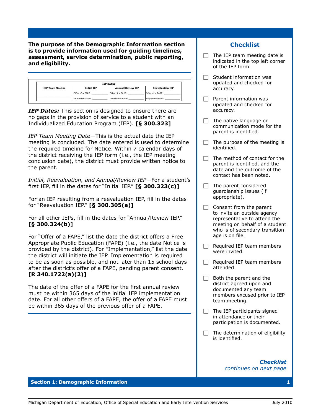**The purpose of the Demographic Information section is to provide information used for guiding timelines, assessment, service determination, public reporting, and eligibility.** 

|                         |                    | <b>IEP DATES</b>         |                         |
|-------------------------|--------------------|--------------------------|-------------------------|
| <b>IEP Team Meeting</b> | <b>Initial IEP</b> | <b>Annual/Review IEP</b> | <b>Reevaluation IEP</b> |
|                         | Offer of a FAPE:   | Offer of a FAPE:         | Offer of a FAPE:        |
|                         | Implementation:    | Implementation:          | Implementation:         |

**IEP Dates:** This section is designed to ensure there are no gaps in the provision of service to a student with an Individualized Education Program (IEP). **[§ 300.323]**

*IEP Team Meeting Date―*This is the actual date the IEP meeting is concluded. The date entered is used to determine the required timeline for Notice. Within 7 calendar days of the district receiving the IEP form (i.e., the IEP meeting conclusion date), the district must provide written notice to the parent.

*Initial, Reevaluation, and Annual/Review IEP―*For a student's first IEP, fill in the dates for "Initial IEP." **[§ 300.323(c)]**

For an IEP resulting from a reevaluation IEP, fill in the dates for "Reevaluation IEP." **[§ 300.305(a)]**

For all other IEPs, fill in the dates for "Annual/Review IEP." **[§ 300.324(b)]**

For "Offer of a FAPE," list the date the district offers a Free Appropriate Public Education (FAPE) (i.e., the date Notice is provided by the district). For "Implementation," list the date the district will initiate the IEP. Implementation is required to be as soon as possible, and not later than 15 school days after the district's offer of a FAPE, pending parent consent. **[R 340.1722(a)(2)]**

The date of the offer of a FAPE for the first annual review must be within 365 days of the initial IEP implementation date. For all other offers of a FAPE, the offer of a FAPE must be within 365 days of the previous offer of a FAPE.

## **Checklist**

- $\Box$  The IEP team meeting date is indicated in the top left corner of the IEP form.
- $\Box$  Student information was updated and checked for accuracy.
- $\Box$  Parent information was updated and checked for accuracy.
- $\Box$  The native language or communication mode for the parent is identified.
- $\Box$  The purpose of the meeting is identified.
- $\Box$  The method of contact for the parent is identified, and the date and the outcome of the contact has been noted.
- $\Box$  The parent considered guardianship issues (if appropriate).
- $\Box$  Consent from the parent to invite an outside agency representative to attend the meeting on behalf of a student who is of secondary transition age is on file.
- $\Box$  Required IEP team members were invited.
- $\Box$  Required IEP team members attended.
- $\Box$  Both the parent and the district agreed upon and documented any team members excused prior to IEP team meeting.
- $\Box$  The IEP participants signed in attendance or their participation is documented.
- $\Box$  The determination of eligibility is identified.

*Checklist continues on next page* 

#### **Section 1: Demographic Information**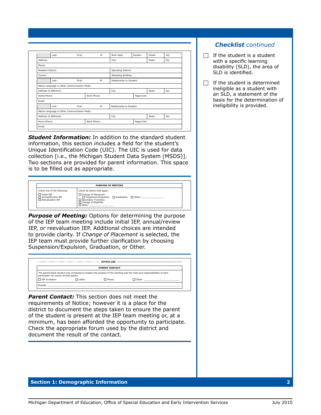|                           | Last:                   | First:                                       | M:          | Birth Date:              | Gender:     | Grade: | UIC: |
|---------------------------|-------------------------|----------------------------------------------|-------------|--------------------------|-------------|--------|------|
| Address:                  |                         |                                              |             | City:                    |             | State: | Zip: |
| Phone:                    |                         |                                              |             |                          |             |        |      |
| <b>Resident District:</b> |                         |                                              |             | Operating District:      |             |        |      |
| County:                   |                         |                                              |             | Attending Building:      |             |        |      |
|                           | Last:                   | First:                                       | M:          | Relationship to Student: |             |        |      |
|                           |                         | Native Language or Other Communication Mode: |             |                          |             |        |      |
|                           | Address (if different): |                                              |             | City:                    |             | State: | Zip: |
| Home Phone:               |                         |                                              | Work Phone: |                          | Pager/Cell: |        |      |
| Fmail:                    |                         |                                              |             |                          |             |        |      |
|                           | Last:                   | First:                                       | M:          | Relationship to Student: |             |        |      |
|                           |                         | Native Language or Other Communication Mode: |             |                          |             |        |      |
|                           | Address (if different): |                                              |             | City:                    |             | State: | Zip: |
|                           | Home Phone:             |                                              | Work Phone: |                          | Pager/Cell: |        |      |

*Student Information:* In addition to the standard student information, this section includes a field for the student's Unique Identification Code (UIC). The UIC is used for data collection [i.e., the Michigan Student Data System (MSDS)]. Two sections are provided for parent information. This space is to be filled out as appropriate.

|                                                                                            | <b>PURPOSE OF MEETING</b>                                                                                                                                                 |  |
|--------------------------------------------------------------------------------------------|---------------------------------------------------------------------------------------------------------------------------------------------------------------------------|--|
| Check one of the following:<br>$\Box$ Initial IEP<br>Annual/Review IEP<br>Reevaluation IEP | Check all others that apply:<br>□ Change of Placement<br>□ Suspension/Expulsion □ Graduation □ Other:<br>Secondary Transition<br>□ Change of Eligibility<br>$\Box$ Other: |  |

**Purpose of Meeting:** Options for determining the purpose of the IEP team meeting include initial IEP, annual/review IEP, or reevaluation IEP. Additional choices are intended to provide clarity. If *Change of Placement* is selected, the IEP team must provide further clarification by choosing Suspension/Expulsion, Graduation, or Other.



**Parent Contact:** This section does not meet the requirements of Notice; however it is a place for the district to document the steps taken to ensure the parent of the student is present at the IEP team meeting or, at a minimum, has been afforded the opportunity to participate. Check the appropriate forum used by the district and document the result of the contact.

## *Checklist continued*

- $\Box$  If the student is a student with a specific learning disability (SLD), the area of SLD is identified.
- $\Box$  If the student is determined ineligible as a student with an SLD, a statement of the basis for the determination of ineligibility is provided.

#### **Section 1: Demographic Information 2**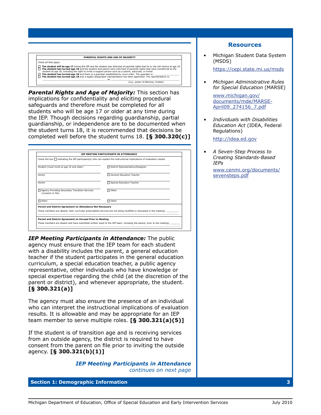#### **PARENTAL RIGHTS AND AGE OF MAJORITY** Check all that apply: |<br>|<br>|<br>| The student will be age 17 during this IEP and the student was informed of parental rights that he or she will receive at age 18.<br>The student has turned age 18 and the student and parent were informed of parental rights th *(e.g., power of attorney, trustee)*

*Parental Rights and Age of Majority:* This section has implications for confidentiality and eliciting procedural safeguards and therefore must be completed for all students who will be age 17 or older at any time during the IEP. Though decisions regarding guardianship, partial guardianship, or independence are to be documented when the student turns 18, it is recommended that decisions be completed well before the student turns 18. **[§ 300.320(c)]**

| Student (must invite at age 16 and older)                           | □ District Representative/Designee                                                                                   |
|---------------------------------------------------------------------|----------------------------------------------------------------------------------------------------------------------|
| Parent                                                              | General Education Teacher                                                                                            |
| Parent                                                              | Special Education Teacher                                                                                            |
| Agency Providing Secondary Transition Services<br>(consent on file) | $\Box$ Other                                                                                                         |
| $\Box$ Other                                                        | $\Box$ Other                                                                                                         |
| Parent and District Agreement on Attendance Not Necessary           | These members are absent; their curricular area/related services are not being modified or discussed in the meeting: |

*IEP Meeting Participants in Attendance:* The public agency must ensure that the IEP team for each student with a disability includes the parent, a general education teacher if the student participates in the general education curriculum, a special education teacher, a public agency representative, other individuals who have knowledge or special expertise regarding the child (at the discretion of the parent or district), and whenever appropriate, the student. **[§ 300.321(a)]**

The agency must also ensure the presence of an individual who can interpret the instructional implications of evaluation results. It is allowable and may be appropriate for an IEP team member to serve multiple roles. **[§ 300.321(a)(5)]**

If the student is of transition age and is receiving services from an outside agency, the district is required to have consent from the parent on file prior to inviting the outside agency. **[§ 300.321(b)(1)]**

> *IEP Meeting Participants in Attendance continues on next page*

#### **Section 1: Demographic Information 3**

#### **Resources**

• Michigan Student Data System (MSDS)

https://cepi.state.mi.us/msds

*• Michigan Administrative Rules for Special Education* (MARSE)

www.michigan.gov/ documents/mde/MARSE-April09\_274156\_7.pdf

*• Individuals with Disabilities Education Act* (IDEA, Federal Regulations)

http://idea.ed.gov

*• A Seven-Step Process to Creating Standards-Based IEPs*

www.cenmi.org/documents/ sevensteps.pdf